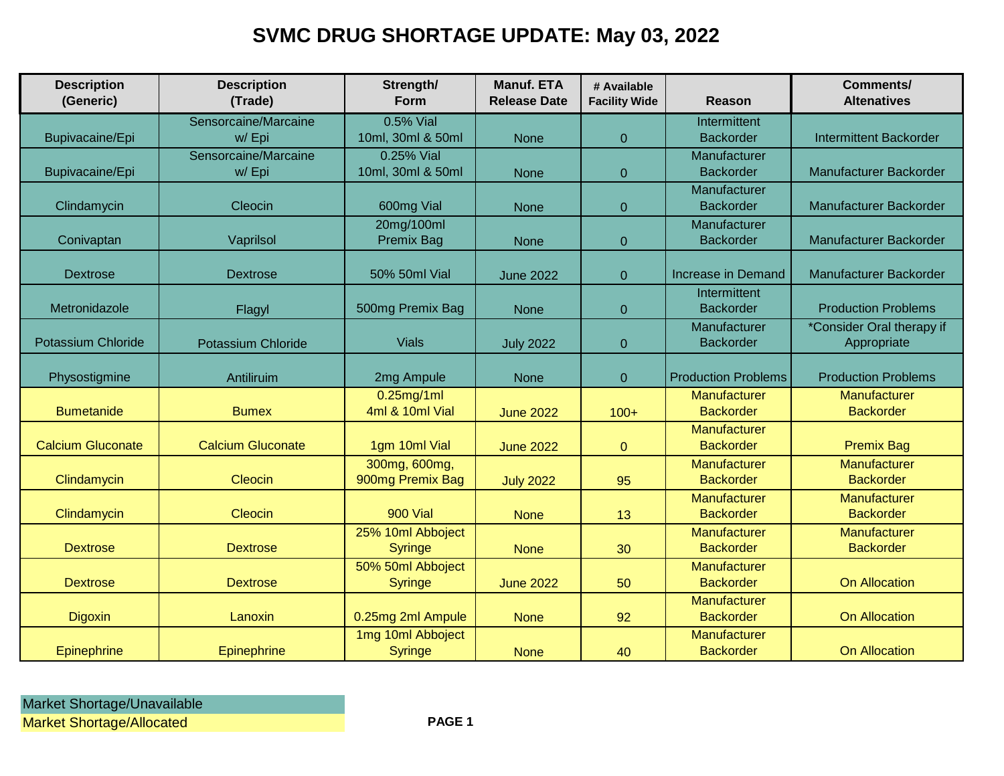## **SVMC DRUG SHORTAGE UPDATE: May 03, 2022**

| <b>Description</b><br>(Generic) | <b>Description</b><br>(Trade) | Strength/<br>Form                   | <b>Manuf. ETA</b><br><b>Release Date</b> | # Available<br><b>Facility Wide</b> | Reason                           | <b>Comments/</b><br><b>Altenatives</b> |
|---------------------------------|-------------------------------|-------------------------------------|------------------------------------------|-------------------------------------|----------------------------------|----------------------------------------|
|                                 | Sensorcaine/Marcaine          | 0.5% Vial                           |                                          |                                     | Intermittent                     |                                        |
| Bupivacaine/Epi                 | w/Epi                         | 10ml, 30ml & 50ml                   | <b>None</b>                              | $\Omega$                            | <b>Backorder</b>                 | <b>Intermittent Backorder</b>          |
|                                 | Sensorcaine/Marcaine          | 0.25% Vial                          |                                          |                                     | Manufacturer                     |                                        |
| Bupivacaine/Epi                 | w/Epi                         | 10ml, 30ml & 50ml                   | <b>None</b>                              | $\overline{0}$                      | <b>Backorder</b>                 | Manufacturer Backorder                 |
| Clindamycin                     | Cleocin                       | 600mg Vial                          | <b>None</b>                              | $\mathbf 0$                         | Manufacturer<br><b>Backorder</b> | Manufacturer Backorder                 |
|                                 |                               | 20mg/100ml                          |                                          |                                     | Manufacturer                     |                                        |
| Conivaptan                      | Vaprilsol                     | <b>Premix Bag</b>                   | <b>None</b>                              | $\Omega$                            | <b>Backorder</b>                 | Manufacturer Backorder                 |
|                                 |                               |                                     |                                          |                                     |                                  |                                        |
| <b>Dextrose</b>                 | <b>Dextrose</b>               | 50% 50ml Vial                       | <b>June 2022</b>                         | $\overline{0}$                      | Increase in Demand               | Manufacturer Backorder                 |
|                                 |                               |                                     |                                          |                                     | Intermittent                     |                                        |
| Metronidazole                   | Flagyl                        | 500mg Premix Bag                    | None                                     | $\overline{0}$                      | <b>Backorder</b>                 | <b>Production Problems</b>             |
|                                 |                               |                                     |                                          |                                     | Manufacturer                     | *Consider Oral therapy if              |
| <b>Potassium Chloride</b>       | <b>Potassium Chloride</b>     | <b>Vials</b>                        | <b>July 2022</b>                         | $\Omega$                            | <b>Backorder</b>                 | Appropriate                            |
| Physostigmine                   | Antiliruim                    | 2mg Ampule                          | <b>None</b>                              | $\overline{0}$                      | <b>Production Problems</b>       | <b>Production Problems</b>             |
|                                 |                               | $0.25$ mg/1ml                       |                                          |                                     | Manufacturer                     | Manufacturer                           |
| <b>Bumetanide</b>               | <b>Bumex</b>                  | 4ml & 10ml Vial                     | <b>June 2022</b>                         | $100+$                              | <b>Backorder</b>                 | <b>Backorder</b>                       |
|                                 |                               |                                     |                                          |                                     | Manufacturer                     |                                        |
| <b>Calcium Gluconate</b>        | <b>Calcium Gluconate</b>      | 1gm 10ml Vial                       | <b>June 2022</b>                         | $\mathbf{0}$                        | <b>Backorder</b>                 | <b>Premix Bag</b>                      |
|                                 |                               | 300mg, 600mg,                       |                                          |                                     | Manufacturer                     | Manufacturer                           |
| Clindamycin                     | Cleocin                       | 900mg Premix Bag                    | <b>July 2022</b>                         | 95                                  | <b>Backorder</b>                 | <b>Backorder</b>                       |
|                                 |                               | <b>900 Vial</b>                     |                                          |                                     | Manufacturer                     | Manufacturer                           |
| Clindamycin                     | Cleocin                       |                                     | <b>None</b>                              | 13                                  | <b>Backorder</b>                 | <b>Backorder</b>                       |
|                                 |                               | 25% 10ml Abboject                   |                                          |                                     | Manufacturer                     | Manufacturer                           |
| <b>Dextrose</b>                 | <b>Dextrose</b>               | <b>Syringe</b>                      | <b>None</b>                              | 30                                  | <b>Backorder</b>                 | <b>Backorder</b>                       |
|                                 |                               | 50% 50ml Abboject                   |                                          |                                     | Manufacturer                     |                                        |
| <b>Dextrose</b>                 | <b>Dextrose</b>               | <b>Syringe</b>                      | <b>June 2022</b>                         | 50                                  | <b>Backorder</b>                 | <b>On Allocation</b>                   |
|                                 |                               |                                     |                                          |                                     | Manufacturer                     |                                        |
| <b>Digoxin</b>                  | Lanoxin                       | 0.25mg 2ml Ampule                   | <b>None</b>                              | 92                                  | <b>Backorder</b>                 | <b>On Allocation</b>                   |
| Epinephrine                     | <b>Epinephrine</b>            | 1mg 10ml Abboject<br><b>Syringe</b> | <b>None</b>                              | 40                                  | Manufacturer<br><b>Backorder</b> | <b>On Allocation</b>                   |